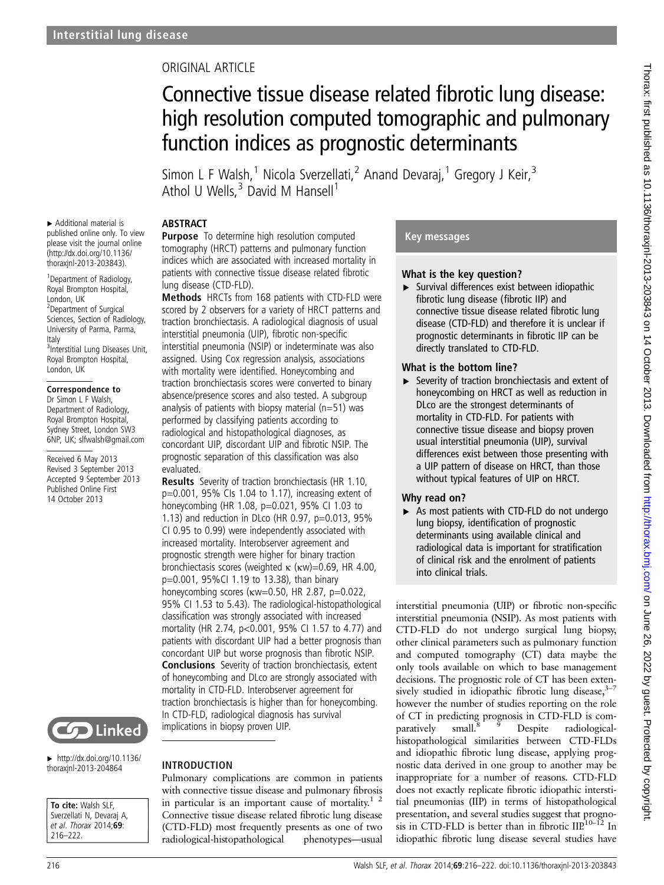## ORIGINAL ARTICLE

# Connective tissue disease related fibrotic lung disease: high resolution computed tomographic and pulmonary function indices as prognostic determinants

Simon L F Walsh,<sup>1</sup> Nicola Sverzellati,<sup>2</sup> Anand Devaraj,<sup>1</sup> Gregory J Keir,<sup>3</sup> Athol U Wells, $3$  David M Hansell<sup>1</sup>

## ABSTRACT

▸ Additional material is published online only. To view please visit the journal online [\(http://dx.doi.org/10.1136/](http://dx.doi.org/10.1136/thoraxjnl-2013-203843) [thoraxjnl-2013-203843\)](http://dx.doi.org/10.1136/thoraxjnl-2013-203843).

<sup>1</sup> Department of Radiology, Royal Brompton Hospital, London, UK 2 Department of Surgical Sciences, Section of Radiology, University of Parma, Parma, Italy <sup>3</sup>Interstitial Lung Diseases Unit, Royal Brompton Hospital, London, UK

#### Correspondence to

Dr Simon L F Walsh, Department of Radiology, Royal Brompton Hospital, Sydney Street, London SW3 6NP, UK; slfwalsh@gmail.com

Received 6 May 2013 Revised 3 September 2013 Accepted 9 September 2013 Published Online First 14 October 2013



▸ [http://dx.doi.org/10.1136/](http://dx.doi.org/10.1136/thoraxjnl-2013-204864) [thoraxjnl-2013-204864](http://dx.doi.org/10.1136/thoraxjnl-2013-204864)

To cite: Walsh SLF, Sverzellati N, Devaraj A, et al. Thorax 2014;69: 216–222.

**Purpose** To determine high resolution computed tomography (HRCT) patterns and pulmonary function indices which are associated with increased mortality in patients with connective tissue disease related fibrotic lung disease (CTD-FLD).

Methods HRCTs from 168 patients with CTD-FLD were scored by 2 observers for a variety of HRCT patterns and traction bronchiectasis. A radiological diagnosis of usual interstitial pneumonia (UIP), fibrotic non-specific interstitial pneumonia (NSIP) or indeterminate was also assigned. Using Cox regression analysis, associations with mortality were identified. Honeycombing and traction bronchiectasis scores were converted to binary absence/presence scores and also tested. A subgroup analysis of patients with biopsy material  $(n=51)$  was performed by classifying patients according to radiological and histopathological diagnoses, as concordant UIP, discordant UIP and fibrotic NSIP. The prognostic separation of this classification was also evaluated.

Results Severity of traction bronchiectasis (HR 1.10, p=0.001, 95% CIs 1.04 to 1.17), increasing extent of honeycombing (HR 1.08, p=0.021, 95% CI 1.03 to 1.13) and reduction in DLco (HR 0.97, p=0.013, 95% CI 0.95 to 0.99) were independently associated with increased mortality. Interobserver agreement and prognostic strength were higher for binary traction bronchiectasis scores (weighted κ (κw)=0.69, HR 4.00, p=0.001, 95%CI 1.19 to 13.38), than binary honeycombing scores ( $κw=0.50$ , HR 2.87, p=0.022, 95% CI 1.53 to 5.43). The radiological-histopathological classification was strongly associated with increased mortality (HR 2.74, p<0.001, 95% CI 1.57 to 4.77) and patients with discordant UIP had a better prognosis than concordant UIP but worse prognosis than fibrotic NSIP. Conclusions Severity of traction bronchiectasis, extent of honeycombing and DLco are strongly associated with mortality in CTD-FLD. Interobserver agreement for traction bronchiectasis is higher than for honeycombing. In CTD-FLD, radiological diagnosis has survival implications in biopsy proven UIP.

## INTRODUCTION

Pulmonary complications are common in patients with connective tissue disease and pulmonary fibrosis in particular is an important cause of mortality.<sup>1</sup> <sup>2</sup> Connective tissue disease related fibrotic lung disease (CTD-FLD) most frequently presents as one of two radiological-histopathological phenotypes—usual

## Key messages

## What is the key question?

 $\triangleright$  Survival differences exist between idiopathic fibrotic lung disease (fibrotic IIP) and connective tissue disease related fibrotic lung disease (CTD-FLD) and therefore it is unclear if prognostic determinants in fibrotic IIP can be directly translated to CTD-FLD.

## What is the bottom line?

▸ Severity of traction bronchiectasis and extent of honeycombing on HRCT as well as reduction in DLco are the strongest determinants of mortality in CTD-FLD. For patients with connective tissue disease and biopsy proven usual interstitial pneumonia (UIP), survival differences exist between those presenting with a UIP pattern of disease on HRCT, than those without typical features of UIP on HRCT.

## Why read on?

▶ As most patients with CTD-FLD do not undergo lung biopsy, identification of prognostic determinants using available clinical and radiological data is important for stratification of clinical risk and the enrolment of patients into clinical trials.

interstitial pneumonia (UIP) or fibrotic non-specific interstitial pneumonia (NSIP). As most patients with CTD-FLD do not undergo surgical lung biopsy, other clinical parameters such as pulmonary function and computed tomography (CT) data maybe the only tools available on which to base management decisions. The prognostic role of CT has been extensively studied in idiopathic fibrotic lung disease,  $3-7$ however the number of studies reporting on the role of CT in predicting prognosis in CTD-FLD is comparatively small.<sup>8</sup> <sup>9</sup> Despite radiologicalhistopathological similarities between CTD-FLDs and idiopathic fibrotic lung disease, applying prognostic data derived in one group to another may be inappropriate for a number of reasons. CTD-FLD does not exactly replicate fibrotic idiopathic interstitial pneumonias (IIP) in terms of histopathological presentation, and several studies suggest that prognosis in CTD-FLD is better than in fibrotic  $\text{IIP}^{10-12}$  In idiopathic fibrotic lung disease several studies have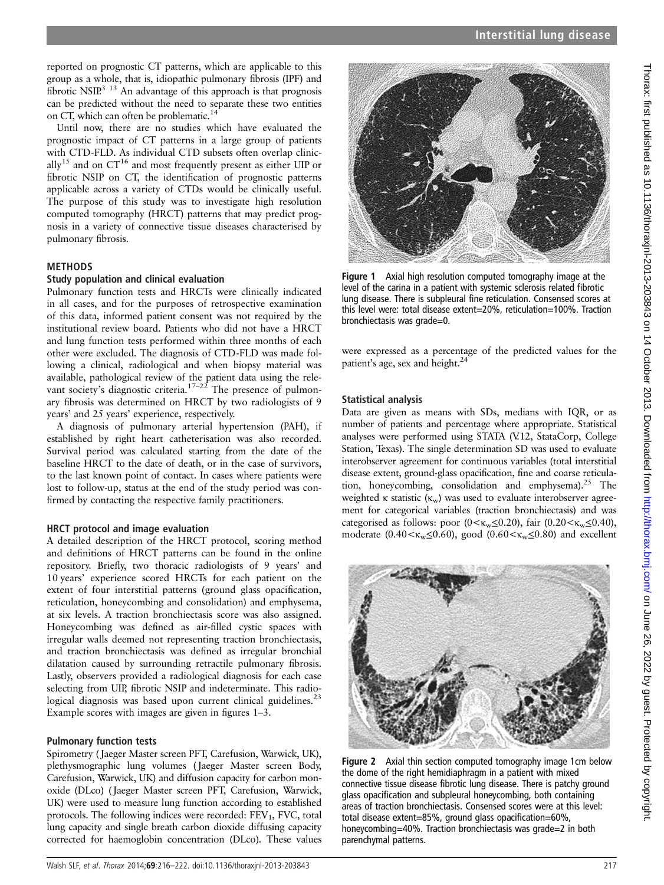reported on prognostic CT patterns, which are applicable to this group as a whole, that is, idiopathic pulmonary fibrosis (IPF) and fibrotic  $NSIP<sup>3</sup>$  13 An advantage of this approach is that prognosis can be predicted without the need to separate these two entities on CT, which can often be problematic.<sup>14</sup>

Until now, there are no studies which have evaluated the prognostic impact of CT patterns in a large group of patients with CTD-FLD. As individual CTD subsets often overlap clinically<sup>15</sup> and on  $CT^{16}$  and most frequently present as either UIP or fibrotic NSIP on CT, the identification of prognostic patterns applicable across a variety of CTDs would be clinically useful. The purpose of this study was to investigate high resolution computed tomography (HRCT) patterns that may predict prognosis in a variety of connective tissue diseases characterised by pulmonary fibrosis.

#### METHODS

#### Study population and clinical evaluation

Pulmonary function tests and HRCTs were clinically indicated in all cases, and for the purposes of retrospective examination of this data, informed patient consent was not required by the institutional review board. Patients who did not have a HRCT and lung function tests performed within three months of each other were excluded. The diagnosis of CTD-FLD was made following a clinical, radiological and when biopsy material was available, pathological review of the patient data using the relevant society's diagnostic criteria. $17-22$  The presence of pulmonary fibrosis was determined on HRCT by two radiologists of 9 years' and 25 years' experience, respectively.

A diagnosis of pulmonary arterial hypertension (PAH), if established by right heart catheterisation was also recorded. Survival period was calculated starting from the date of the baseline HRCT to the date of death, or in the case of survivors, to the last known point of contact. In cases where patients were lost to follow-up, status at the end of the study period was confirmed by contacting the respective family practitioners.

#### HRCT protocol and image evaluation

A detailed description of the HRCT protocol, scoring method and definitions of HRCT patterns can be found in the online repository. Briefly, two thoracic radiologists of 9 years' and 10 years' experience scored HRCTs for each patient on the extent of four interstitial patterns (ground glass opacification, reticulation, honeycombing and consolidation) and emphysema, at six levels. A traction bronchiectasis score was also assigned. Honeycombing was defined as air-filled cystic spaces with irregular walls deemed not representing traction bronchiectasis, and traction bronchiectasis was defined as irregular bronchial dilatation caused by surrounding retractile pulmonary fibrosis. Lastly, observers provided a radiological diagnosis for each case selecting from UIP, fibrotic NSIP and indeterminate. This radiological diagnosis was based upon current clinical guidelines.<sup>23</sup> Example scores with images are given in figures 1–3.

#### Pulmonary function tests

Spirometry ( Jaeger Master screen PFT, Carefusion, Warwick, UK), plethysmographic lung volumes ( Jaeger Master screen Body, Carefusion, Warwick, UK) and diffusion capacity for carbon monoxide (DLco) ( Jaeger Master screen PFT, Carefusion, Warwick, UK) were used to measure lung function according to established protocols. The following indices were recorded: FEV<sub>1</sub>, FVC, total lung capacity and single breath carbon dioxide diffusing capacity corrected for haemoglobin concentration (DLco). These values



Figure 1 Axial high resolution computed tomography image at the level of the carina in a patient with systemic sclerosis related fibrotic lung disease. There is subpleural fine reticulation. Consensed scores at this level were: total disease extent=20%, reticulation=100%. Traction bronchiectasis was grade=0.

were expressed as a percentage of the predicted values for the patient's age, sex and height.<sup>24</sup>

#### Statistical analysis

Data are given as means with SDs, medians with IQR, or as number of patients and percentage where appropriate. Statistical analyses were performed using STATA (V.12, StataCorp, College Station, Texas). The single determination SD was used to evaluate interobserver agreement for continuous variables (total interstitial disease extent, ground-glass opacification, fine and coarse reticulation, honeycombing, consolidation and emphysema). $25$  The weighted κ statistic ( $\kappa_w$ ) was used to evaluate interobserver agreement for categorical variables (traction bronchiectasis) and was categorised as follows: poor ( $0 \lt \kappa_{w} \leq 0.20$ ), fair ( $0.20 \lt \kappa_{w} \leq 0.40$ ), moderate (0.40< $\kappa_{\rm w} \le 0.60$ ), good (0.60< $\kappa_{\rm w} \le 0.80$ ) and excellent



Figure 2 Axial thin section computed tomography image 1cm below the dome of the right hemidiaphragm in a patient with mixed connective tissue disease fibrotic lung disease. There is patchy ground glass opacification and subpleural honeycombing, both containing areas of traction bronchiectasis. Consensed scores were at this level: total disease extent=85%, ground glass opacification=60%, honeycombing=40%. Traction bronchiectasis was grade=2 in both parenchymal patterns.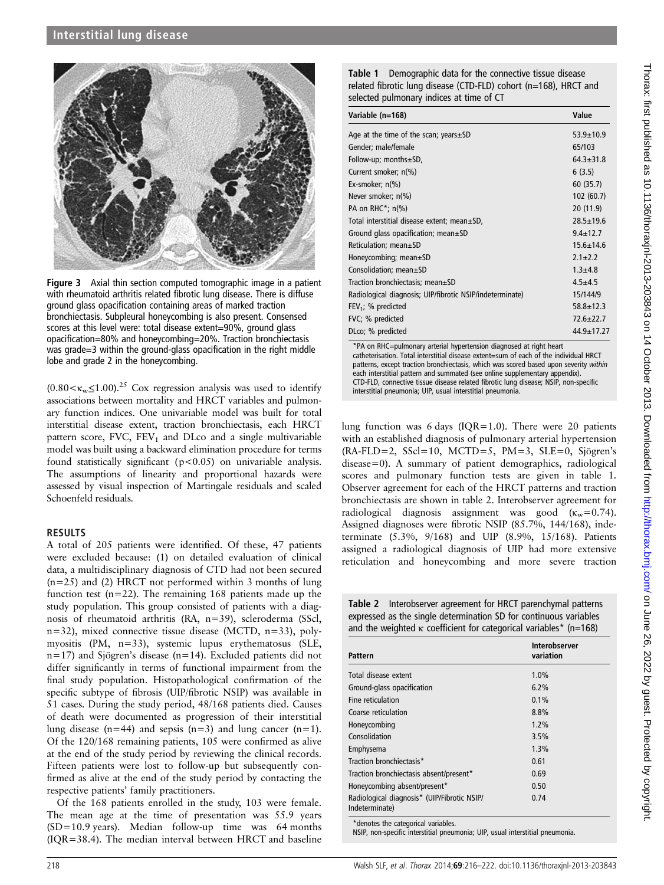

Figure 3 Axial thin section computed tomographic image in a patient with rheumatoid arthritis related fibrotic lung disease. There is diffuse ground glass opacification containing areas of marked traction bronchiectasis. Subpleural honeycombing is also present. Consensed scores at this level were: total disease extent=90%, ground glass opacification=80% and honeycombing=20%. Traction bronchiectasis was grade=3 within the ground-glass opacification in the right middle lobe and grade 2 in the honeycombing.

 $(0.80<\kappa_{\rm w}\leq1.00).^{25}$  Cox regression analysis was used to identify associations between mortality and HRCT variables and pulmonary function indices. One univariable model was built for total interstitial disease extent, traction bronchiectasis, each HRCT pattern score,  $FVC$ ,  $FEV<sub>1</sub>$  and  $DLoc$  and a single multivariable model was built using a backward elimination procedure for terms found statistically significant  $(p<0.05)$  on univariable analysis. The assumptions of linearity and proportional hazards were assessed by visual inspection of Martingale residuals and scaled Schoenfeld residuals.

#### RESULTS

A total of 205 patients were identified. Of these, 47 patients were excluded because: (1) on detailed evaluation of clinical data, a multidisciplinary diagnosis of CTD had not been secured (n=25) and (2) HRCT not performed within 3 months of lung function test ( $n=22$ ). The remaining 168 patients made up the study population. This group consisted of patients with a diagnosis of rheumatoid arthritis (RA, n=39), scleroderma (SScl, n=32), mixed connective tissue disease (MCTD, n=33), polymyositis (PM, n=33), systemic lupus erythematosus (SLE, n=17) and Sjögren's disease (n=14). Excluded patients did not differ significantly in terms of functional impairment from the final study population. Histopathological confirmation of the specific subtype of fibrosis (UIP/fibrotic NSIP) was available in 51 cases. During the study period, 48/168 patients died. Causes of death were documented as progression of their interstitial lung disease  $(n=44)$  and sepsis  $(n=3)$  and lung cancer  $(n=1)$ . Of the 120/168 remaining patients, 105 were confirmed as alive at the end of the study period by reviewing the clinical records. Fifteen patients were lost to follow-up but subsequently confirmed as alive at the end of the study period by contacting the respective patients' family practitioners.

Of the 168 patients enrolled in the study, 103 were female. The mean age at the time of presentation was 55.9 years (SD=10.9 years). Median follow-up time was 64 months  $IQR=38.4$ ). The median interval between HRCT and baseline

Table 1 Demographic data for the connective tissue disease related fibrotic lung disease (CTD-FLD) cohort (n=168), HRCT and selected pulmonary indices at time of CT

| Variable (n=168)                                                    | Value            |
|---------------------------------------------------------------------|------------------|
| Age at the time of the scan; years $\pm$ SD                         | $53.9 \pm 10.9$  |
| Gender; male/female                                                 | 65/103           |
| Follow-up; months $\pm$ SD,                                         | $64.3 \pm 31.8$  |
| Current smoker; n(%)                                                | 6(3.5)           |
| Ex-smoker; $n\%$                                                    | 60(35.7)         |
| Never smoker; n(%)                                                  | 102 (60.7)       |
| PA on RHC $*$ ; n(%)                                                | 20 (11.9)        |
| Total interstitial disease extent; mean±SD,                         | $28.5 \pm 19.6$  |
| Ground glass opacification; mean±SD                                 | $9.4 \pm 12.7$   |
| Reticulation; mean±SD                                               | $15.6 \pm 14.6$  |
| Honeycombing; mean $\pm$ SD                                         | $2.1 \pm 2.2$    |
| Consolidation; mean±SD                                              | $1.3 + 4.8$      |
| Traction bronchiectasis; mean±SD                                    | $4.5 + 4.5$      |
| Radiological diagnosis; UIP/fibrotic NSIP/indeterminate)            | 15/144/9         |
| $FEV_1$ ; % predicted                                               | $58.8 \pm 12.3$  |
| FVC; % predicted                                                    | $72.6 \pm 22.7$  |
| DLco; % predicted                                                   | $44.9 \pm 17.27$ |
| *PA on RHC-pulmonary arterial hypertension diagnosed at right heart |                  |

\*PA on RHC=pulmonary arterial hypertension diagnosed at right heart catheterisation. Total interstitial disease extent=sum of each of the individual HRCT patterns, except traction bronchiectasis, which was scored based upon severity within each interstitial pattern and summated (see online [supplementary appendix](http://thorax.bmj.com/lookup/suppl/doi:10.1136/thoraxjnl-2013-203843/-/DC1)). CTD-FLD, connective tissue disease related fibrotic lung disease; NSIP, non-specific interstitial pneumonia; UIP, usual interstitial pneumonia.

lung function was 6 days (IQR=1.0). There were 20 patients with an established diagnosis of pulmonary arterial hypertension  $(RA-FLD=2, SScI=10, MCTD=5, PM=3, SLE=0, Sjögren's$ disease=0). A summary of patient demographics, radiological scores and pulmonary function tests are given in table 1. Observer agreement for each of the HRCT patterns and traction bronchiectasis are shown in table 2. Interobserver agreement for radiological diagnosis assignment was good  $(\kappa_w=0.74)$ . Assigned diagnoses were fibrotic NSIP (85.7%, 144/168), indeterminate (5.3%, 9/168) and UIP (8.9%, 15/168). Patients assigned a radiological diagnosis of UIP had more extensive reticulation and honeycombing and more severe traction

Table 2 Interobserver agreement for HRCT parenchymal patterns expressed as the single determination SD for continuous variables and the weighted  $\kappa$  coefficient for categorical variables\* (n=168)

| Pattern                                                       | <b>Interobserver</b><br>variation |
|---------------------------------------------------------------|-----------------------------------|
| Total disease extent                                          | 1.0%                              |
| Ground-glass opacification                                    | 6.2%                              |
| Fine reticulation                                             | 0.1%                              |
| Coarse reticulation                                           | 8.8%                              |
| Honeycombing                                                  | 1.2%                              |
| Consolidation                                                 | 3.5%                              |
| Emphysema                                                     | 1.3%                              |
| Traction bronchiectasis*                                      | 0.61                              |
| Traction bronchiectasis absent/present*                       | 0.69                              |
| Honeycombing absent/present*                                  | 0.50                              |
| Radiological diagnosis* (UIP/Fibrotic NSIP/<br>Indeterminate) | 0.74                              |
| *denotes the categorical variables                            |                                   |

\*denotes the categorical variables.

NSIP, non-specific interstitial pneumonia; UIP, usual interstitial pneumonia.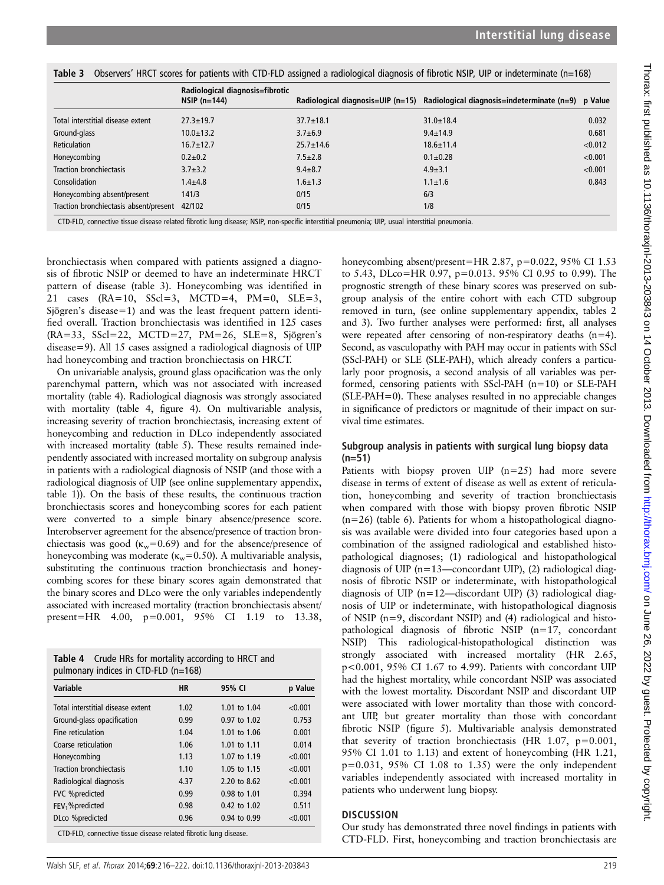|                                        | Radiological diagnosis=fibrotic |                 |                                                                                      |         |
|----------------------------------------|---------------------------------|-----------------|--------------------------------------------------------------------------------------|---------|
|                                        | $NSIP(n=144)$                   |                 | Radiological diagnosis=UIP ( $n=15$ ) Radiological diagnosis=indeterminate ( $n=9$ ) | p Value |
| Total interstitial disease extent      | $27.3 + 19.7$                   | $37.7 + 18.1$   | $31.0 \pm 18.4$                                                                      | 0.032   |
| Ground-glass                           | $10.0 + 13.2$                   | $3.7 + 6.9$     | $9.4 \pm 14.9$                                                                       | 0.681   |
| Reticulation                           | $16.7 \pm 12.7$                 | $25.7 \pm 14.6$ | $18.6 \pm 11.4$                                                                      | < 0.012 |
| Honeycombing                           | $0.2 + 0.2$                     | $7.5 \pm 2.8$   | $0.1 \pm 0.28$                                                                       | < 0.001 |
| Traction bronchiectasis                | $3.7 + 3.2$                     | $9.4 + 8.7$     | $4.9 + 3.1$                                                                          | < 0.001 |
| Consolidation                          | $1.4 + 4.8$                     | $1.6 + 1.3$     | $1.1 \pm 1.6$                                                                        | 0.843   |
| Honeycombing absent/present            | 141/3                           | 0/15            | 6/3                                                                                  |         |
| Traction bronchiectasis absent/present | 42/102                          | 0/15            | 1/8                                                                                  |         |

CTD-FLD, connective tissue disease related fibrotic lung disease; NSIP, non-specific interstitial pneumonia; UIP, usual interstitial pneumonia.

bronchiectasis when compared with patients assigned a diagnosis of fibrotic NSIP or deemed to have an indeterminate HRCT pattern of disease (table 3). Honeycombing was identified in 21 cases (RA=10, SScl=3, MCTD=4, PM=0, SLE=3, Sjögren's disease=1) and was the least frequent pattern identified overall. Traction bronchiectasis was identified in 125 cases  $(RA=33, SScI=22, MCTD=27, PM=26, SLE=8, Sjögren's$ disease=9). All 15 cases assigned a radiological diagnosis of UIP had honeycombing and traction bronchiectasis on HRCT.

On univariable analysis, ground glass opacification was the only parenchymal pattern, which was not associated with increased mortality (table 4). Radiological diagnosis was strongly associated with mortality (table 4, figure 4). On multivariable analysis, increasing severity of traction bronchiectasis, increasing extent of honeycombing and reduction in DLco independently associated with increased mortality (table 5). These results remained independently associated with increased mortality on subgroup analysis in patients with a radiological diagnosis of NSIP (and those with a radiological diagnosis of UIP (see online [supplementary appendix](http://thorax.bmj.com/lookup/suppl/doi:10.1136/thoraxjnl-2013-203843/-/DC1), table 1)). On the basis of these results, the continuous traction bronchiectasis scores and honeycombing scores for each patient were converted to a simple binary absence/presence score. Interobserver agreement for the absence/presence of traction bronchiectasis was good ( $\kappa_w$ =0.69) and for the absence/presence of honeycombing was moderate ( $\kappa_w$ =0.50). A multivariable analysis, substituting the continuous traction bronchiectasis and honeycombing scores for these binary scores again demonstrated that the binary scores and DLco were the only variables independently associated with increased mortality (traction bronchiectasis absent/ present=HR 4.00, p=0.001, 95% CI 1.19 to 13.38,

| <b>Table 4</b> Crude HRs for mortality according to HRCT and |
|--------------------------------------------------------------|
| pulmonary indices in CTD-FLD (n=168)                         |

| Variable                          | <b>HR</b> | 95% CI         | p Value |
|-----------------------------------|-----------|----------------|---------|
| Total interstitial disease extent | 1.02      | 1.01 to 1.04   | < 0.001 |
| Ground-glass opacification        | 0.99      | $0.97$ to 1.02 | 0.753   |
| Fine reticulation                 | 1.04      | 1.01 to $1.06$ | 0.001   |
| Coarse reticulation               | 1.06      | 1.01 to 1.11   | 0.014   |
| Honeycombing                      | 1.13      | 1.07 to 1.19   | < 0.001 |
| <b>Traction bronchiectasis</b>    | 1.10      | 1.05 to 1.15   | < 0.001 |
| Radiological diagnosis            | 4.37      | 2.20 to 8.62   | < 0.001 |
| FVC %predicted                    | 0.99      | 0.98 to 1.01   | 0.394   |
| $FEV1$ %predicted                 | 0.98      | 0.42 to 1.02   | 0.511   |
| DLco %predicted                   | 0.96      | 0.94 to 0.99   | < 0.001 |

CTD-FLD, connective tissue disease related fibrotic lung disease.

Walsh SLF, et al. Thorax 2014;69:216-222. doi:10.1136/thoraxjnl-2013-203843 219

honeycombing absent/present=HR 2.87, p=0.022, 95% CI 1.53 to 5.43, DLco=HR 0.97, p=0.013. 95% CI 0.95 to 0.99). The prognostic strength of these binary scores was preserved on subgroup analysis of the entire cohort with each CTD subgroup removed in turn, (see online [supplementary appendix](http://thorax.bmj.com/lookup/suppl/doi:10.1136/thoraxjnl-2013-203843/-/DC1), tables 2 and 3). Two further analyses were performed: first, all analyses were repeated after censoring of non-respiratory deaths  $(n=4)$ . Second, as vasculopathy with PAH may occur in patients with SScl (SScl-PAH) or SLE (SLE-PAH), which already confers a particularly poor prognosis, a second analysis of all variables was performed, censoring patients with SScl-PAH (n=10) or SLE-PAH (SLE-PAH=0). These analyses resulted in no appreciable changes in significance of predictors or magnitude of their impact on survival time estimates.

#### Subgroup analysis in patients with surgical lung biopsy data (n=51)

Patients with biopsy proven UIP (n=25) had more severe disease in terms of extent of disease as well as extent of reticulation, honeycombing and severity of traction bronchiectasis when compared with those with biopsy proven fibrotic NSIP  $(n=26)$  (table 6). Patients for whom a histopathological diagnosis was available were divided into four categories based upon a combination of the assigned radiological and established histopathological diagnoses; (1) radiological and histopathological diagnosis of UIP (n=13—concordant UIP), (2) radiological diagnosis of fibrotic NSIP or indeterminate, with histopathological diagnosis of UIP (n=12—discordant UIP) (3) radiological diagnosis of UIP or indeterminate, with histopathological diagnosis of NSIP (n=9, discordant NSIP) and (4) radiological and histopathological diagnosis of fibrotic NSIP (n=17, concordant NSIP) This radiological-histopathological distinction was strongly associated with increased mortality (HR 2.65, p<0.001, 95% CI 1.67 to 4.99). Patients with concordant UIP had the highest mortality, while concordant NSIP was associated with the lowest mortality. Discordant NSIP and discordant UIP were associated with lower mortality than those with concordant UIP, but greater mortality than those with concordant fibrotic NSIP (figure 5). Multivariable analysis demonstrated that severity of traction bronchiectasis (HR 1.07, p=0.001, 95% CI 1.01 to 1.13) and extent of honeycombing (HR 1.21,  $p=0.031$ , 95% CI 1.08 to 1.35) were the only independent variables independently associated with increased mortality in patients who underwent lung biopsy.

#### **DISCUSSION**

Our study has demonstrated three novel findings in patients with CTD-FLD. First, honeycombing and traction bronchiectasis are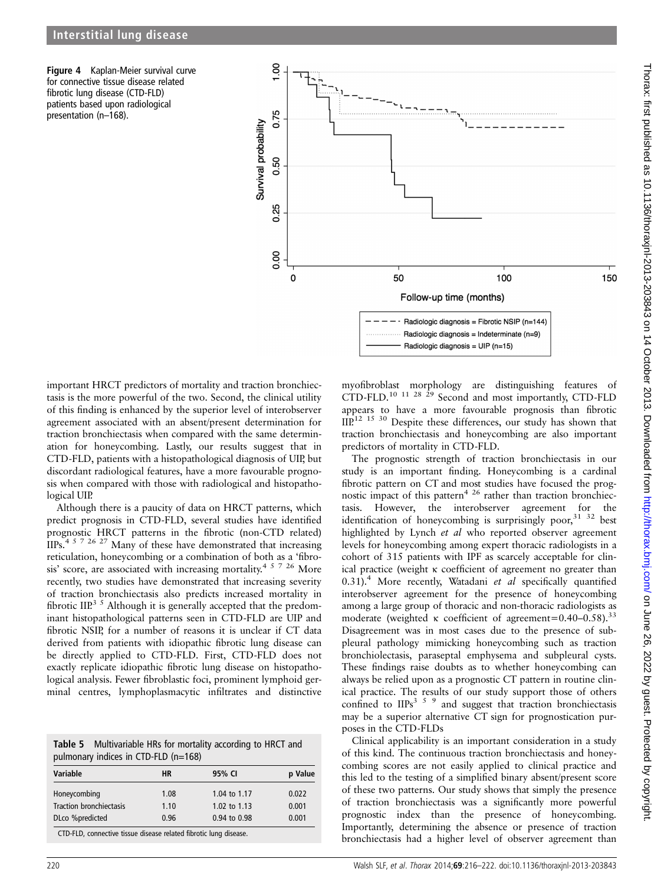



important HRCT predictors of mortality and traction bronchiectasis is the more powerful of the two. Second, the clinical utility of this finding is enhanced by the superior level of interobserver agreement associated with an absent/present determination for traction bronchiectasis when compared with the same determination for honeycombing. Lastly, our results suggest that in CTD-FLD, patients with a histopathological diagnosis of UIP, but discordant radiological features, have a more favourable prognosis when compared with those with radiological and histopathological UIP.

Although there is a paucity of data on HRCT patterns, which predict prognosis in CTD-FLD, several studies have identified prognostic HRCT patterns in the fibrotic (non-CTD related)  $IIPs<sup>4 5 7 26 27</sup>$  Many of these have demonstrated that increasing reticulation, honeycombing or a combination of both as a 'fibrosis' score, are associated with increasing mortality.<sup>4 5 7 26</sup> More recently, two studies have demonstrated that increasing severity of traction bronchiectasis also predicts increased mortality in fibrotic IIP.<sup>3 5</sup> Although it is generally accepted that the predominant histopathological patterns seen in CTD-FLD are UIP and fibrotic NSIP, for a number of reasons it is unclear if CT data derived from patients with idiopathic fibrotic lung disease can be directly applied to CTD-FLD. First, CTD-FLD does not exactly replicate idiopathic fibrotic lung disease on histopathological analysis. Fewer fibroblastic foci, prominent lymphoid germinal centres, lymphoplasmacytic infiltrates and distinctive

| <b>Table 5</b> Multivariable HRs for mortality according to HRCT and |
|----------------------------------------------------------------------|
| pulmonary indices in CTD-FLD (n=168)                                 |

| <b>Variable</b>                | HR   | 95% CI       | p Value |
|--------------------------------|------|--------------|---------|
| Honeycombing                   | 1.08 | 1.04 to 1.17 | 0.022   |
| <b>Traction bronchiectasis</b> | 1.10 | 1.02 to 1.13 | 0.001   |
| DLco %predicted                | 0.96 | 0.94 to 0.98 | 0.001   |
|                                | $-1$ |              |         |

CTD-FLD, connective tissue disease related fibrotic lung disease.

myofibroblast morphology are distinguishing features of CTD-FLD.<sup>10 11 28 29</sup> Second and most importantly, CTD-FLD appears to have a more favourable prognosis than fibrotic IIP.<sup>12 15 30</sup> Despite these differences, our study has shown that traction bronchiectasis and honeycombing are also important predictors of mortality in CTD-FLD.

The prognostic strength of traction bronchiectasis in our study is an important finding. Honeycombing is a cardinal fibrotic pattern on CT and most studies have focused the prognostic impact of this pattern<sup>4 26</sup> rather than traction bronchiectasis. However, the interobserver agreement for the identification of honeycombing is surprisingly poor,  $31^{32}$  best highlighted by Lynch et al who reported observer agreement levels for honeycombing among expert thoracic radiologists in a cohort of 315 patients with IPF as scarcely acceptable for clinical practice (weight κ coefficient of agreement no greater than  $0.31$ ).<sup>4</sup> More recently, Watadani et al specifically quantified interobserver agreement for the presence of honeycombing among a large group of thoracic and non-thoracic radiologists as moderate (weighted κ coefficient of agreement=0.40-0.58).<sup>33</sup> Disagreement was in most cases due to the presence of subpleural pathology mimicking honeycombing such as traction bronchiolectasis, paraseptal emphysema and subpleural cysts. These findings raise doubts as to whether honeycombing can always be relied upon as a prognostic CT pattern in routine clinical practice. The results of our study support those of others confined to  $IIPs<sup>3-5-9</sup>$  and suggest that traction bronchiectasis may be a superior alternative CT sign for prognostication purposes in the CTD-FLDs

Clinical applicability is an important consideration in a study of this kind. The continuous traction bronchiectasis and honeycombing scores are not easily applied to clinical practice and this led to the testing of a simplified binary absent/present score of these two patterns. Our study shows that simply the presence of traction bronchiectasis was a significantly more powerful prognostic index than the presence of honeycombing. Importantly, determining the absence or presence of traction bronchiectasis had a higher level of observer agreement than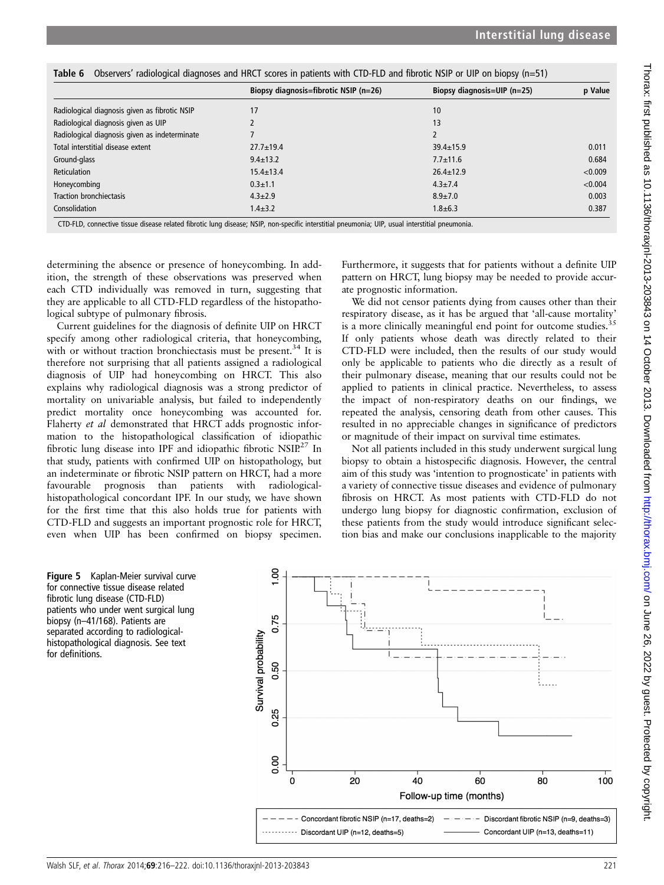|                                               | Biopsy diagnosis=fibrotic NSIP (n=26) | Biopsy diagnosis=UIP (n=25) | p Value |
|-----------------------------------------------|---------------------------------------|-----------------------------|---------|
| Radiological diagnosis given as fibrotic NSIP | 17                                    | 10                          |         |
| Radiological diagnosis given as UIP           |                                       | 13                          |         |
| Radiological diagnosis given as indeterminate |                                       |                             |         |
| Total interstitial disease extent             | $27.7 \pm 19.4$                       | $39.4 \pm 15.9$             | 0.011   |
| Ground-glass                                  | $9.4 \pm 13.2$                        | $7.7 \pm 11.6$              | 0.684   |
| Reticulation                                  | $15.4 \pm 13.4$                       | $26.4 \pm 12.9$             | < 0.009 |
| Honeycombing                                  | $0.3 + 1.1$                           | $4.3 \pm 7.4$               | < 0.004 |
| Traction bronchiectasis                       | $4.3 \pm 2.9$                         | $8.9 \pm 7.0$               | 0.003   |
| Consolidation                                 | $1.4 + 3.2$                           | $1.8 + 6.3$                 | 0.387   |

Table 6 Observers' radiological diagnoses and HRCT scores in patients with CTD-FLD and fibrotic NSIP or UIP on bionsy (n=51)

determining the absence or presence of honeycombing. In addition, the strength of these observations was preserved when each CTD individually was removed in turn, suggesting that they are applicable to all CTD-FLD regardless of the histopathological subtype of pulmonary fibrosis.

Current guidelines for the diagnosis of definite UIP on HRCT specify among other radiological criteria, that honeycombing, with or without traction bronchiectasis must be present.<sup>34</sup> It is therefore not surprising that all patients assigned a radiological diagnosis of UIP had honeycombing on HRCT. This also explains why radiological diagnosis was a strong predictor of mortality on univariable analysis, but failed to independently predict mortality once honeycombing was accounted for. Flaherty et al demonstrated that HRCT adds prognostic information to the histopathological classification of idiopathic fibrotic lung disease into IPF and idiopathic fibrotic  $NSIP<sup>27</sup>$  In that study, patients with confirmed UIP on histopathology, but an indeterminate or fibrotic NSIP pattern on HRCT, had a more favourable prognosis than patients with radiologicalhistopathological concordant IPF. In our study, we have shown for the first time that this also holds true for patients with CTD-FLD and suggests an important prognostic role for HRCT, even when UIP has been confirmed on biopsy specimen.

Furthermore, it suggests that for patients without a definite UIP pattern on HRCT, lung biopsy may be needed to provide accurate prognostic information.

We did not censor patients dying from causes other than their respiratory disease, as it has be argued that 'all-cause mortality' is a more clinically meaningful end point for outcome studies.<sup>35</sup> If only patients whose death was directly related to their CTD-FLD were included, then the results of our study would only be applicable to patients who die directly as a result of their pulmonary disease, meaning that our results could not be applied to patients in clinical practice. Nevertheless, to assess the impact of non-respiratory deaths on our findings, we repeated the analysis, censoring death from other causes. This resulted in no appreciable changes in significance of predictors or magnitude of their impact on survival time estimates.

Not all patients included in this study underwent surgical lung biopsy to obtain a histospecific diagnosis. However, the central aim of this study was 'intention to prognosticate' in patients with a variety of connective tissue diseases and evidence of pulmonary fibrosis on HRCT. As most patients with CTD-FLD do not undergo lung biopsy for diagnostic confirmation, exclusion of these patients from the study would introduce significant selection bias and make our conclusions inapplicable to the majority